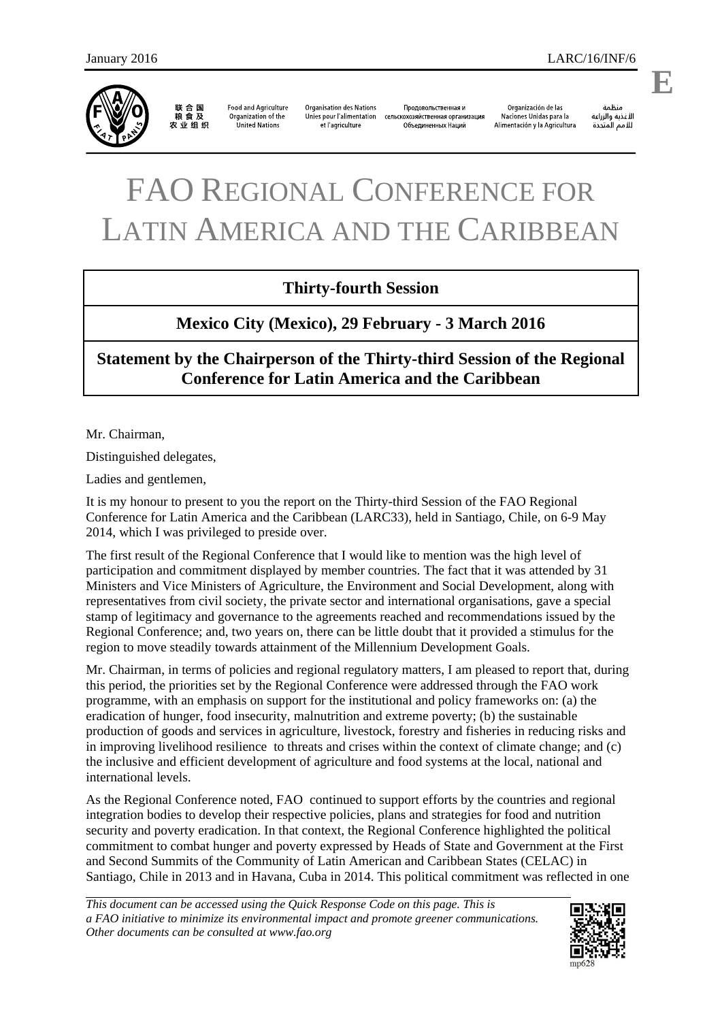

联合国<br>粮食及 农业组织

**Food and Agriculture** Organization of the **United Nations** 

**Organisation des Nations** Продовольственная и Unies pour l'alimentation сельскохозяйственная организация et l'agriculture Объединенных Наций

Organización de las Naciones Unidas para la Alimentación y la Agricultura

ونظوة الأغذية والزراعة للأمم المتحدة

## FAO REGIONAL CONFERENCE FOR LATIN AMERICA AND THE CARIBBEAN

## **Thirty-fourth Session**

## **Mexico City (Mexico), 29 February - 3 March 2016**

**Statement by the Chairperson of the Thirty-third Session of the Regional Conference for Latin America and the Caribbean** 

Mr. Chairman,

Distinguished delegates,

Ladies and gentlemen,

It is my honour to present to you the report on the Thirty-third Session of the FAO Regional Conference for Latin America and the Caribbean (LARC33), held in Santiago, Chile, on 6-9 May 2014, which I was privileged to preside over.

The first result of the Regional Conference that I would like to mention was the high level of participation and commitment displayed by member countries. The fact that it was attended by 31 Ministers and Vice Ministers of Agriculture, the Environment and Social Development, along with representatives from civil society, the private sector and international organisations, gave a special stamp of legitimacy and governance to the agreements reached and recommendations issued by the Regional Conference; and, two years on, there can be little doubt that it provided a stimulus for the region to move steadily towards attainment of the Millennium Development Goals.

Mr. Chairman, in terms of policies and regional regulatory matters, I am pleased to report that, during this period, the priorities set by the Regional Conference were addressed through the FAO work programme, with an emphasis on support for the institutional and policy frameworks on: (a) the eradication of hunger, food insecurity, malnutrition and extreme poverty; (b) the sustainable production of goods and services in agriculture, livestock, forestry and fisheries in reducing risks and in improving livelihood resilience to threats and crises within the context of climate change; and (c) the inclusive and efficient development of agriculture and food systems at the local, national and international levels.

As the Regional Conference noted, FAO continued to support efforts by the countries and regional integration bodies to develop their respective policies, plans and strategies for food and nutrition security and poverty eradication. In that context, the Regional Conference highlighted the political commitment to combat hunger and poverty expressed by Heads of State and Government at the First and Second Summits of the Community of Latin American and Caribbean States (CELAC) in Santiago, Chile in 2013 and in Havana, Cuba in 2014. This political commitment was reflected in one

*This document can be accessed using the Quick Response Code on this page. This is a FAO initiative to minimize its environmental impact and promote greener communications. Other documents can be consulted at www.fao.org* 



**E**